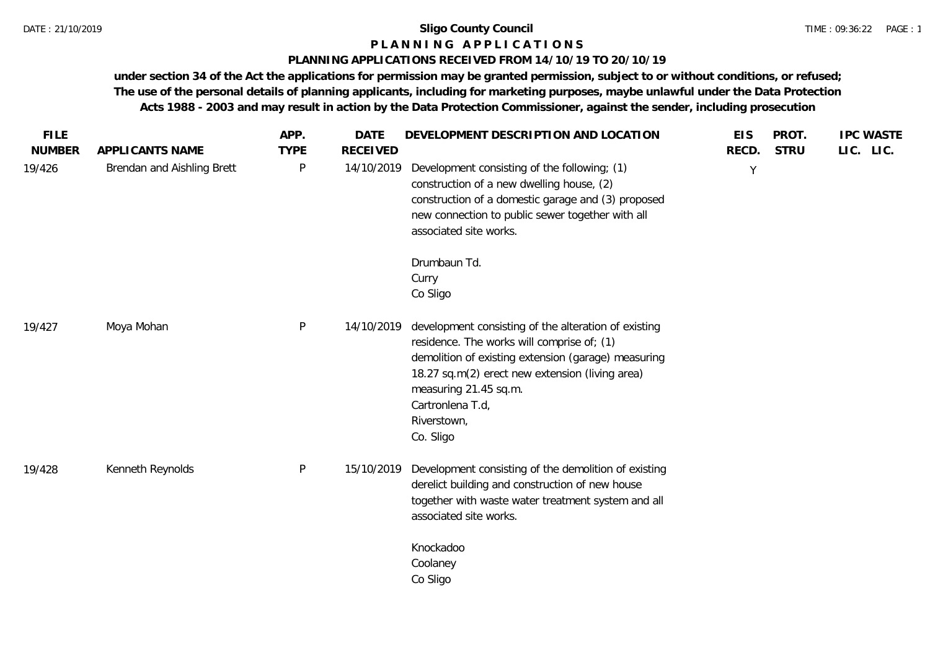### **P L A N N I N G A P P L I C A T I O N S**

### **PLANNING APPLICATIONS RECEIVED FROM 14/10/19 TO 20/10/19**

**under section 34 of the Act the applications for permission may be granted permission, subject to or without conditions, or refused; The use of the personal details of planning applicants, including for marketing purposes, maybe unlawful under the Data Protection Acts 1988 - 2003 and may result in action by the Data Protection Commissioner, against the sender, including prosecution**

| <b>FILE</b><br><b>NUMBER</b> | APPLICANTS NAME            | APP.<br><b>TYPE</b> | <b>DATE</b><br><b>RECEIVED</b> | DEVELOPMENT DESCRIPTION AND LOCATION                                                                                                                                                                                                                                                  | <b>EIS</b><br>RECD. | PROT.<br><b>STRU</b> | <b>IPC WASTE</b><br>LIC. LIC. |
|------------------------------|----------------------------|---------------------|--------------------------------|---------------------------------------------------------------------------------------------------------------------------------------------------------------------------------------------------------------------------------------------------------------------------------------|---------------------|----------------------|-------------------------------|
| 19/426                       | Brendan and Aishling Brett | P                   | 14/10/2019                     | Development consisting of the following; (1)<br>construction of a new dwelling house, (2)<br>construction of a domestic garage and (3) proposed<br>new connection to public sewer together with all<br>associated site works.                                                         | Y                   |                      |                               |
|                              |                            |                     |                                | Drumbaun Td.<br>Curry<br>Co Sligo                                                                                                                                                                                                                                                     |                     |                      |                               |
| 19/427                       | Moya Mohan                 | $\mathsf{P}$        | 14/10/2019                     | development consisting of the alteration of existing<br>residence. The works will comprise of; (1)<br>demolition of existing extension (garage) measuring<br>18.27 sq.m(2) erect new extension (living area)<br>measuring 21.45 sq.m.<br>Cartronlena T.d.<br>Riverstown,<br>Co. Sligo |                     |                      |                               |
| 19/428                       | Kenneth Reynolds           | $\mathsf{P}$        | 15/10/2019                     | Development consisting of the demolition of existing<br>derelict building and construction of new house<br>together with waste water treatment system and all<br>associated site works.                                                                                               |                     |                      |                               |
|                              |                            |                     |                                | Knockadoo<br>Coolaney<br>Co Sligo                                                                                                                                                                                                                                                     |                     |                      |                               |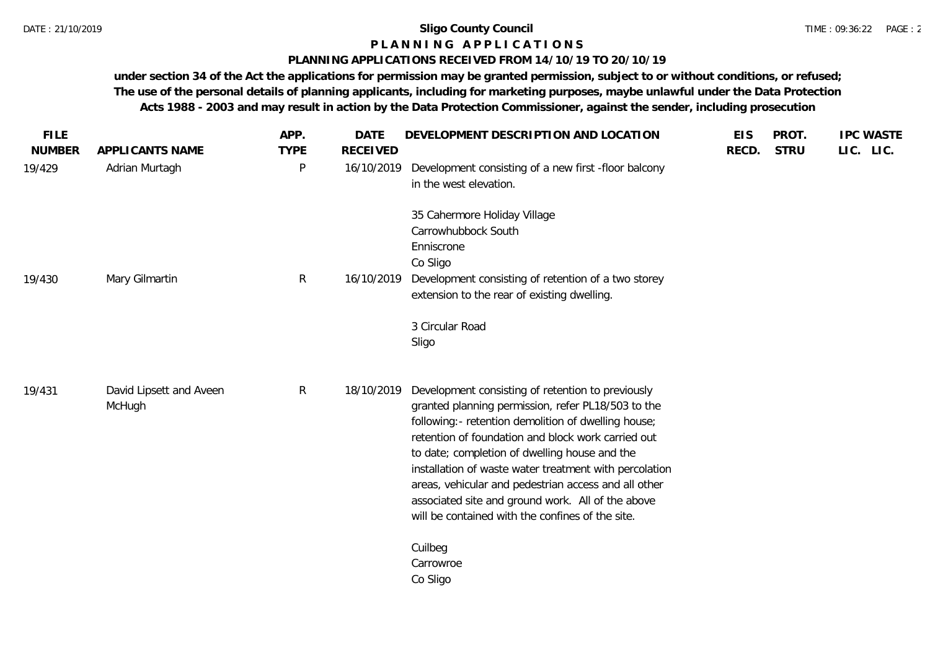# **P L A N N I N G A P P L I C A T I O N S**

### **PLANNING APPLICATIONS RECEIVED FROM 14/10/19 TO 20/10/19**

**under section 34 of the Act the applications for permission may be granted permission, subject to or without conditions, or refused; The use of the personal details of planning applicants, including for marketing purposes, maybe unlawful under the Data Protection Acts 1988 - 2003 and may result in action by the Data Protection Commissioner, against the sender, including prosecution**

| <b>FILE</b><br><b>NUMBER</b> | APPLICANTS NAME                   | APP.<br><b>TYPE</b> | <b>DATE</b><br><b>RECEIVED</b> | DEVELOPMENT DESCRIPTION AND LOCATION                                                                                                                                                                                                                                                                                                                                                                                                                                                             | <b>EIS</b><br>RECD. | PROT.<br><b>STRU</b> | <b>IPC WASTE</b><br>LIC. LIC. |
|------------------------------|-----------------------------------|---------------------|--------------------------------|--------------------------------------------------------------------------------------------------------------------------------------------------------------------------------------------------------------------------------------------------------------------------------------------------------------------------------------------------------------------------------------------------------------------------------------------------------------------------------------------------|---------------------|----------------------|-------------------------------|
| 19/429                       | Adrian Murtagh                    | $\mathsf{P}$        | 16/10/2019                     | Development consisting of a new first -floor balcony<br>in the west elevation.                                                                                                                                                                                                                                                                                                                                                                                                                   |                     |                      |                               |
|                              |                                   |                     |                                | 35 Cahermore Holiday Village<br>Carrowhubbock South<br>Enniscrone<br>Co Sligo                                                                                                                                                                                                                                                                                                                                                                                                                    |                     |                      |                               |
| 19/430                       | Mary Gilmartin                    | $\mathsf{R}$        | 16/10/2019                     | Development consisting of retention of a two storey<br>extension to the rear of existing dwelling.                                                                                                                                                                                                                                                                                                                                                                                               |                     |                      |                               |
|                              |                                   |                     |                                | 3 Circular Road<br>Sligo                                                                                                                                                                                                                                                                                                                                                                                                                                                                         |                     |                      |                               |
| 19/431                       | David Lipsett and Aveen<br>McHugh | $\mathsf{R}$        | 18/10/2019                     | Development consisting of retention to previously<br>granted planning permission, refer PL18/503 to the<br>following:- retention demolition of dwelling house;<br>retention of foundation and block work carried out<br>to date; completion of dwelling house and the<br>installation of waste water treatment with percolation<br>areas, vehicular and pedestrian access and all other<br>associated site and ground work. All of the above<br>will be contained with the confines of the site. |                     |                      |                               |
|                              |                                   |                     |                                | Cuilbeg<br>Carrowroe<br>Co Sligo                                                                                                                                                                                                                                                                                                                                                                                                                                                                 |                     |                      |                               |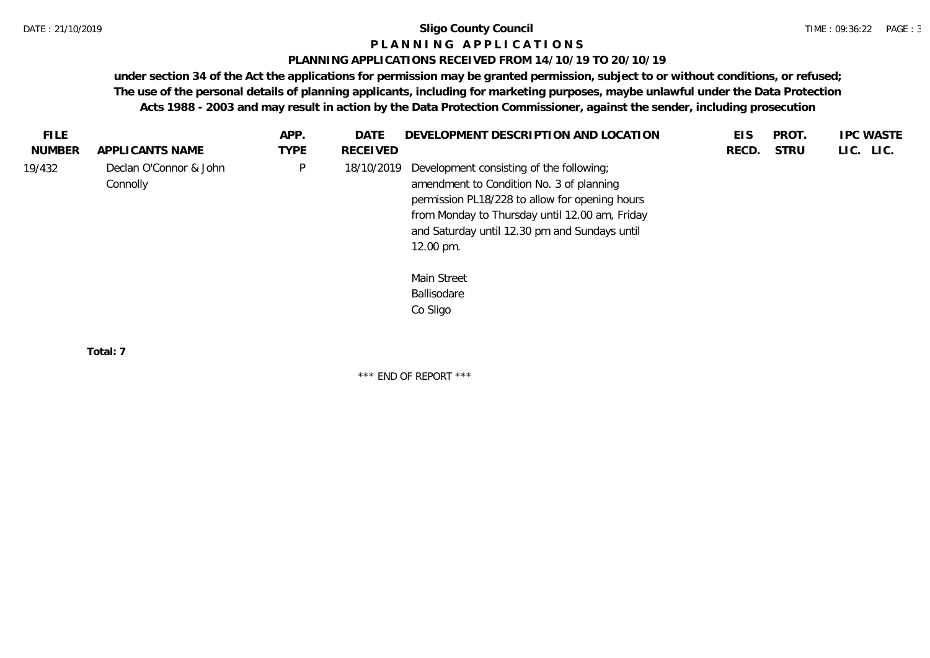### **P L A N N I N G A P P L I C A T I O N S**

### **PLANNING APPLICATIONS RECEIVED FROM 14/10/19 TO 20/10/19**

**under section 34 of the Act the applications for permission may be granted permission, subject to or without conditions, or refused; The use of the personal details of planning applicants, including for marketing purposes, maybe unlawful under the Data Protection Acts 1988 - 2003 and may result in action by the Data Protection Commissioner, against the sender, including prosecution**

| FILE.         |                                    | APP.        | DATE       | DEVELOPMENT DESCRIPTION AND LOCATION                                                                                                                                                                                                                   | <b>EIS</b> | PROT.       | <b>IPC WASTE</b> |
|---------------|------------------------------------|-------------|------------|--------------------------------------------------------------------------------------------------------------------------------------------------------------------------------------------------------------------------------------------------------|------------|-------------|------------------|
| <b>NUMBER</b> | APPLICANTS NAME                    | <b>TYPE</b> | RECEIVED   |                                                                                                                                                                                                                                                        | RECD.      | <b>STRU</b> | LIC. LIC.        |
| 19/432        | Declan O'Connor & John<br>Connolly | P           | 18/10/2019 | Development consisting of the following;<br>amendment to Condition No. 3 of planning<br>permission PL18/228 to allow for opening hours<br>from Monday to Thursday until 12.00 am, Friday<br>and Saturday until 12.30 pm and Sundays until<br>12.00 pm. |            |             |                  |
|               |                                    |             |            | Main Street<br>Ballisodare<br>Co Sligo                                                                                                                                                                                                                 |            |             |                  |

**Total: 7**

\*\*\* END OF REPORT \*\*\*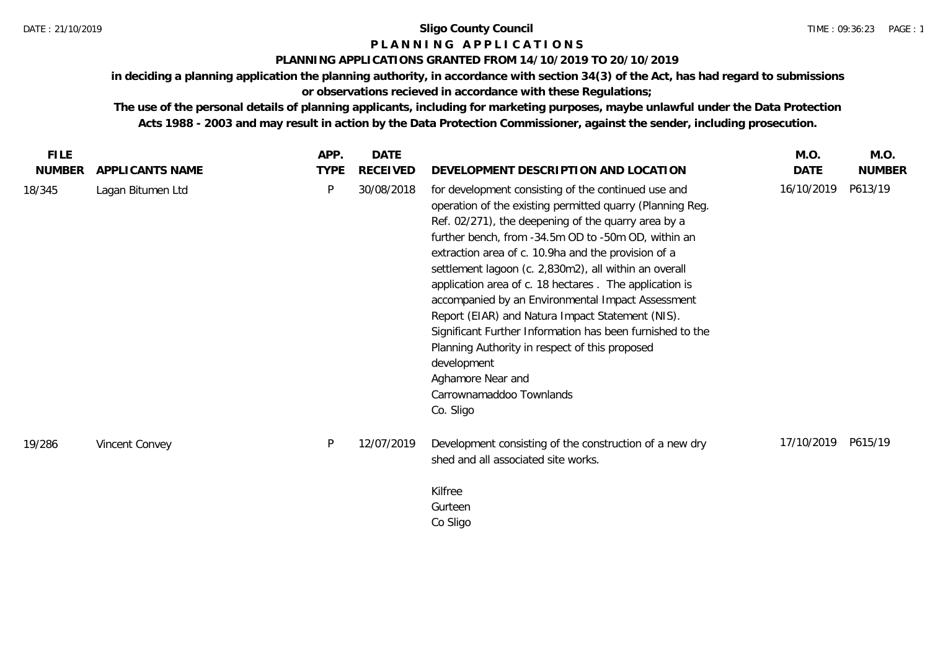# **P L A N N I N G A P P L I C A T I O N S**

# **PLANNING APPLICATIONS GRANTED FROM 14/10/2019 TO 20/10/2019**

**in deciding a planning application the planning authority, in accordance with section 34(3) of the Act, has had regard to submissions** 

**or observations recieved in accordance with these Regulations;**

**The use of the personal details of planning applicants, including for marketing purposes, maybe unlawful under the Data Protection Acts 1988 - 2003 and may result in action by the Data Protection Commissioner, against the sender, including prosecution.**

| <b>FILE</b>   |                   | APP.        | <b>DATE</b>     |                                                                                                                                                                                                                                                                                                                                                                                                                                                                                                                                                                                                                                                                                                               | M.O.       | M.O.          |
|---------------|-------------------|-------------|-----------------|---------------------------------------------------------------------------------------------------------------------------------------------------------------------------------------------------------------------------------------------------------------------------------------------------------------------------------------------------------------------------------------------------------------------------------------------------------------------------------------------------------------------------------------------------------------------------------------------------------------------------------------------------------------------------------------------------------------|------------|---------------|
| <b>NUMBER</b> | APPLICANTS NAME   | <b>TYPE</b> | <b>RECEIVED</b> | DEVELOPMENT DESCRIPTION AND LOCATION                                                                                                                                                                                                                                                                                                                                                                                                                                                                                                                                                                                                                                                                          | DATE       | <b>NUMBER</b> |
| 18/345        | Lagan Bitumen Ltd | P           | 30/08/2018      | for development consisting of the continued use and<br>operation of the existing permitted quarry (Planning Reg.<br>Ref. 02/271), the deepening of the quarry area by a<br>further bench, from -34.5m OD to -50m OD, within an<br>extraction area of c. 10.9ha and the provision of a<br>settlement lagoon (c. 2,830m2), all within an overall<br>application area of c. 18 hectares. The application is<br>accompanied by an Environmental Impact Assessment<br>Report (EIAR) and Natura Impact Statement (NIS).<br>Significant Further Information has been furnished to the<br>Planning Authority in respect of this proposed<br>development<br>Aghamore Near and<br>Carrownamaddoo Townlands<br>Co. Sligo | 16/10/2019 | P613/19       |
| 19/286        | Vincent Convey    | P           | 12/07/2019      | Development consisting of the construction of a new dry<br>shed and all associated site works.<br>Kilfree<br>Gurteen<br>Co Sligo                                                                                                                                                                                                                                                                                                                                                                                                                                                                                                                                                                              | 17/10/2019 | P615/19       |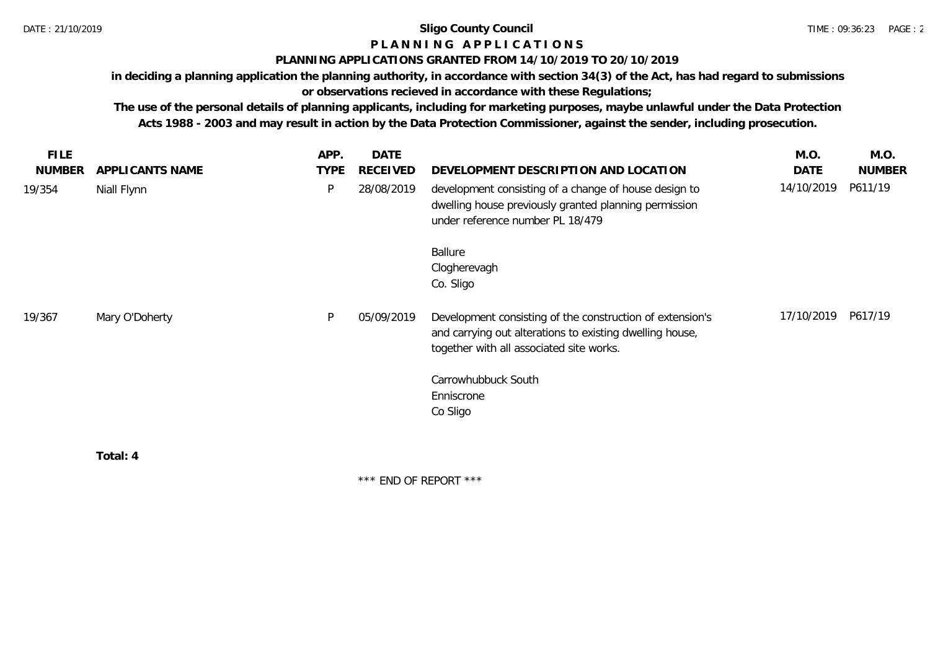# **P L A N N I N G A P P L I C A T I O N S**

# **PLANNING APPLICATIONS GRANTED FROM 14/10/2019 TO 20/10/2019**

**in deciding a planning application the planning authority, in accordance with section 34(3) of the Act, has had regard to submissions or observations recieved in accordance with these Regulations;**

**The use of the personal details of planning applicants, including for marketing purposes, maybe unlawful under the Data Protection Acts 1988 - 2003 and may result in action by the Data Protection Commissioner, against the sender, including prosecution.**

| <b>FILE</b>   |                 | APP.        | <b>DATE</b> |                                                                                                                                                                   | M.O.       | M.O.          |
|---------------|-----------------|-------------|-------------|-------------------------------------------------------------------------------------------------------------------------------------------------------------------|------------|---------------|
| <b>NUMBER</b> | APPLICANTS NAME | <b>TYPE</b> | RECEIVED    | DEVELOPMENT DESCRIPTION AND LOCATION                                                                                                                              | DATE       | <b>NUMBER</b> |
| 19/354        | Niall Flynn     | P           | 28/08/2019  | development consisting of a change of house design to<br>dwelling house previously granted planning permission<br>under reference number PL 18/479                | 14/10/2019 | P611/19       |
|               |                 |             |             | <b>Ballure</b><br>Clogherevagh<br>Co. Sligo                                                                                                                       |            |               |
| 19/367        | Mary O'Doherty  | P           | 05/09/2019  | Development consisting of the construction of extension's<br>and carrying out alterations to existing dwelling house,<br>together with all associated site works. | 17/10/2019 | P617/19       |
|               |                 |             |             | Carrowhubbuck South<br>Enniscrone<br>Co Sligo                                                                                                                     |            |               |
|               | Total: 4        |             |             |                                                                                                                                                                   |            |               |

\*\*\* END OF REPORT \*\*\*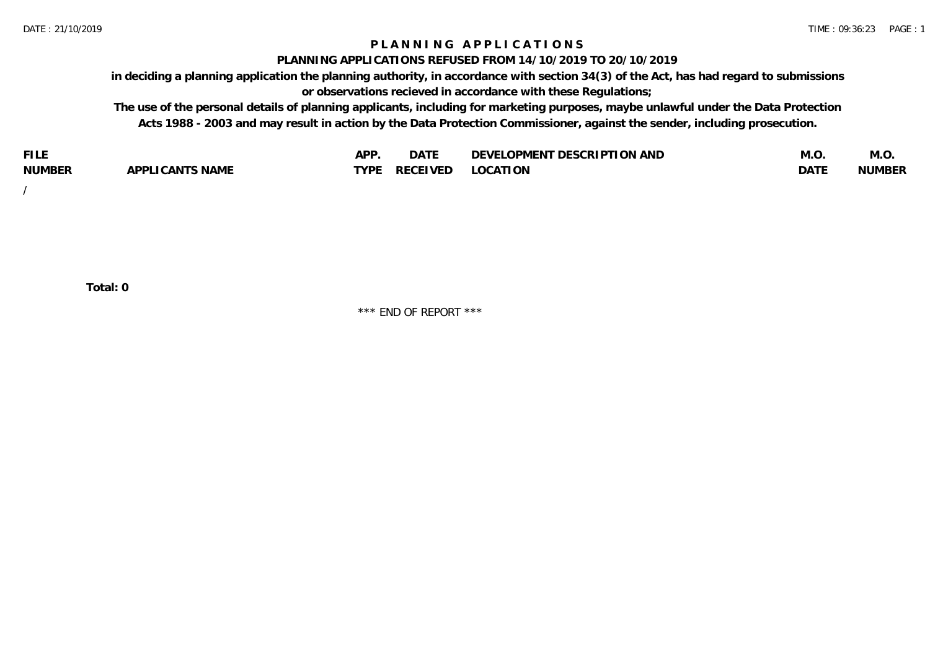# **P L A N N I N G A P P L I C A T I O N S**

### **PLANNING APPLICATIONS REFUSED FROM 14/10/2019 TO 20/10/2019**

**in deciding a planning application the planning authority, in accordance with section 34(3) of the Act, has had regard to submissions or observations recieved in accordance with these Regulations;**

**The use of the personal details of planning applicants, including for marketing purposes, maybe unlawful under the Data Protection Acts 1988 - 2003 and may result in action by the Data Protection Commissioner, against the sender, including prosecution.**

| <b>FILE</b>   |                                                     | A DE | $\sim$ $\sim$ $\sim$<br>DA I | <b>ENT DESCRIPTION AND</b><br>$\cap$ nn.<br>)E\/F<br>. JIEN L<br>பட | IVI.U       | IVI.U         |
|---------------|-----------------------------------------------------|------|------------------------------|---------------------------------------------------------------------|-------------|---------------|
| <b>NUMBER</b> | <b>ANTS NAME</b><br>A DDI<br>$\sqrt{2}$<br>CAN<br>u | TVDL | ◡⊢                           | <b>OCATION</b>                                                      | <b>DATF</b> | <b>NUMBER</b> |

/

**Total: 0**

\*\*\* END OF REPORT \*\*\*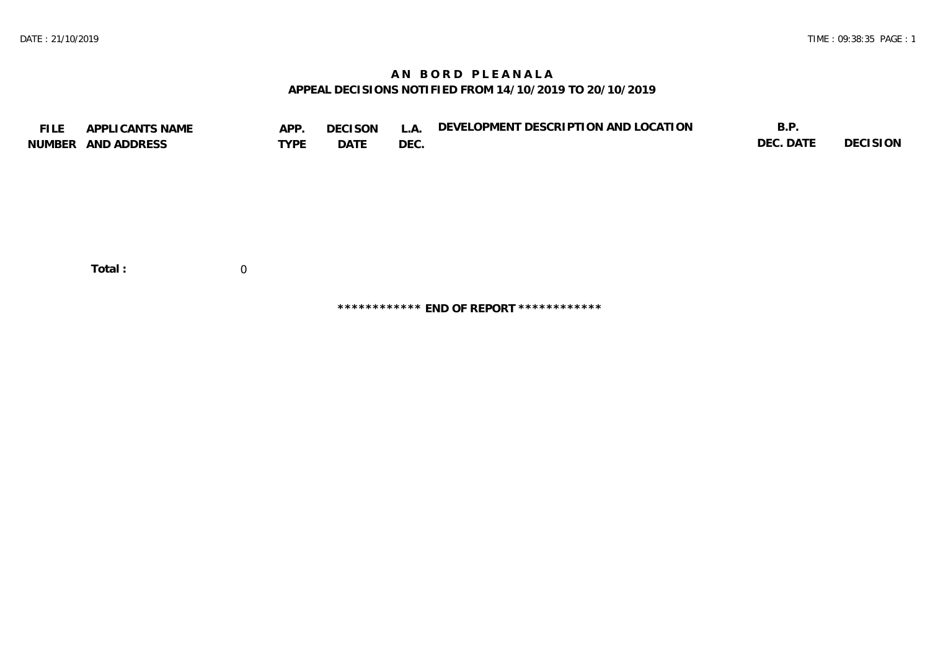# **A N B O R D P L E A N A L A APPEAL DECISIONS NOTIFIED FROM 14/10/2019 TO 20/10/2019**

| <b>FILE</b> | APPLICANTS NAME<br>NUMBER AND ADDRESS | APP.<br><b>TYPE</b> | <b>DECISON</b><br>DATE | L.A.<br>DEC. | DEVELOPMENT DESCRIPTION AND LOCATION | B.P.<br>DEC. DATE | <b>DECISION</b> |
|-------------|---------------------------------------|---------------------|------------------------|--------------|--------------------------------------|-------------------|-----------------|
|             | Total:                                | $\overline{0}$      |                        |              |                                      |                   |                 |

**\*\*\*\*\*\*\*\*\*\*\*\* END OF REPORT \*\*\*\*\*\*\*\*\*\*\*\***